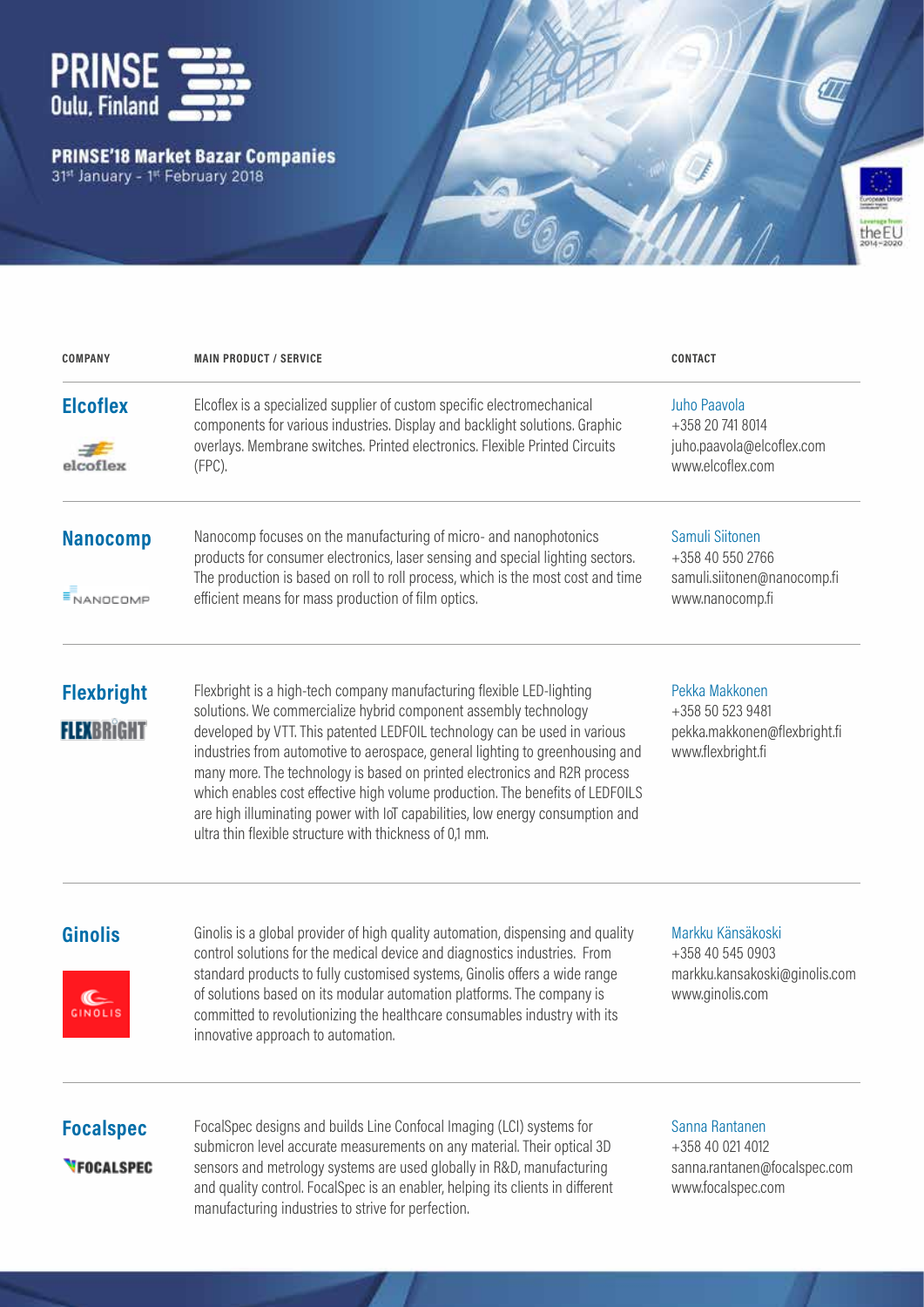

# **PRINSE'18 Market Bazar Companies**<br>31<sup>st</sup> January - 1<sup>st</sup> February 2018



| <b>COMPANY</b>                         | <b>MAIN PRODUCT / SERVICE</b>                                                                                                                                                                                                                                                                                                                                                                                                                                                                                                                                                                                     | <b>CONTACT</b>                                                                            |
|----------------------------------------|-------------------------------------------------------------------------------------------------------------------------------------------------------------------------------------------------------------------------------------------------------------------------------------------------------------------------------------------------------------------------------------------------------------------------------------------------------------------------------------------------------------------------------------------------------------------------------------------------------------------|-------------------------------------------------------------------------------------------|
| <b>Elcoflex</b><br>elcoflex            | Elcoflex is a specialized supplier of custom specific electromechanical<br>components for various industries. Display and backlight solutions. Graphic<br>overlays. Membrane switches. Printed electronics. Flexible Printed Circuits<br>$(FPC)$ .                                                                                                                                                                                                                                                                                                                                                                | Juho Paavola<br>+358 20 741 8014<br>juho.paavola@elcoflex.com<br>www.elcoflex.com         |
| <b>Nanocomp</b><br><b>NANOCOMP</b>     | Nanocomp focuses on the manufacturing of micro- and nanophotonics<br>products for consumer electronics, laser sensing and special lighting sectors.<br>The production is based on roll to roll process, which is the most cost and time<br>efficient means for mass production of film optics.                                                                                                                                                                                                                                                                                                                    | Samuli Siitonen<br>+358 40 550 2766<br>samuli.siitonen@nanocomp.fi<br>www.nanocomp.fi     |
| <b>Flexbright</b><br><b>FLEXBRIGHT</b> | Flexbright is a high-tech company manufacturing flexible LED-lighting<br>solutions. We commercialize hybrid component assembly technology<br>developed by VTT. This patented LEDFOIL technology can be used in various<br>industries from automotive to aerospace, general lighting to greenhousing and<br>many more. The technology is based on printed electronics and R2R process<br>which enables cost effective high volume production. The benefits of LEDFOILS<br>are high illuminating power with loT capabilities, low energy consumption and<br>ultra thin flexible structure with thickness of 0,1 mm. | Pekka Makkonen<br>+358 50 523 9481<br>pekka.makkonen@flexbright.fi<br>www.flexbright.fi   |
| <b>Ginolis</b>                         | Ginolis is a global provider of high quality automation, dispensing and quality<br>control solutions for the medical device and diagnostics industries. From<br>standard products to fully customised systems, Ginolis offers a wide range<br>of solutions based on its modular automation platforms. The company is<br>committed to revolutionizing the healthcare consumables industry with its<br>innovative approach to automation.                                                                                                                                                                           | Markku Känsäkoski<br>+358 40 545 0903<br>markku.kansakoski@ginolis.com<br>www.ginolis.com |
| <b>Focalspec</b><br><b>VFOCALSPEC</b>  | FocalSpec designs and builds Line Confocal Imaging (LCI) systems for<br>submicron level accurate measurements on any material. Their optical 3D<br>sensors and metrology systems are used globally in R&D, manufacturing<br>and quality control. FocalSpec is an enabler, helping its clients in different<br>manufacturing industries to strive for perfection.                                                                                                                                                                                                                                                  | Sanna Rantanen<br>+358 40 021 4012<br>sanna.rantanen@focalspec.com<br>www.focalspec.com   |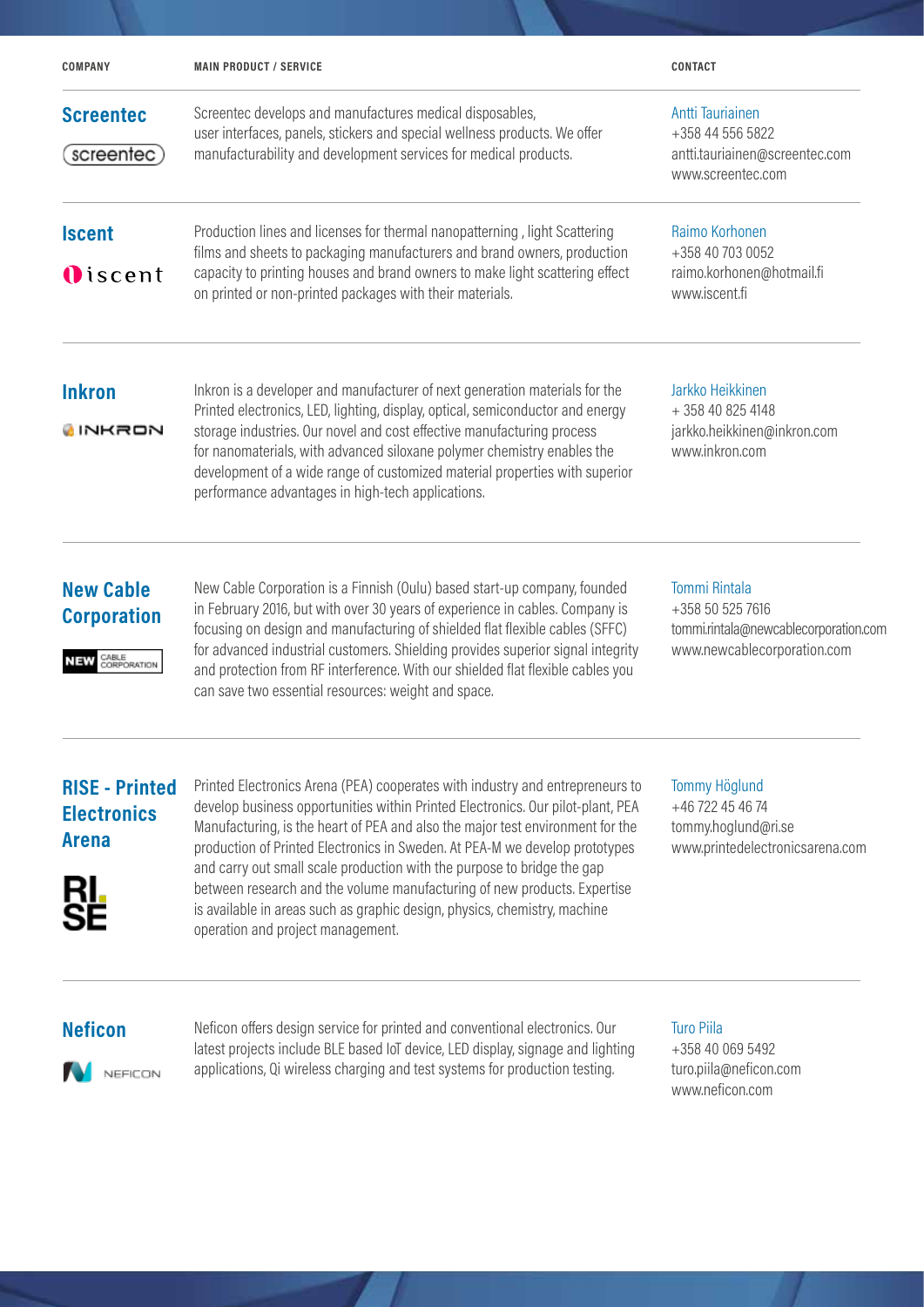| <b>COMPANY</b>                                                          | <b>MAIN PRODUCT / SERVICE</b>                                                                                                                                                                                                                                                                                                                                                                                                                                                                                                                                                                              | <b>CONTACT</b>                                                                                                   |
|-------------------------------------------------------------------------|------------------------------------------------------------------------------------------------------------------------------------------------------------------------------------------------------------------------------------------------------------------------------------------------------------------------------------------------------------------------------------------------------------------------------------------------------------------------------------------------------------------------------------------------------------------------------------------------------------|------------------------------------------------------------------------------------------------------------------|
| <b>Screentec</b><br>screentec)                                          | Screentec develops and manufactures medical disposables,<br>user interfaces, panels, stickers and special wellness products. We offer<br>manufacturability and development services for medical products.                                                                                                                                                                                                                                                                                                                                                                                                  | Antti Tauriainen<br>+358 44 556 5822<br>antti.tauriainen@screentec.com<br>www.screentec.com                      |
| <b>Iscent</b><br><b>O</b> iscent                                        | Production lines and licenses for thermal nanopatterning, light Scattering<br>films and sheets to packaging manufacturers and brand owners, production<br>capacity to printing houses and brand owners to make light scattering effect<br>on printed or non-printed packages with their materials.                                                                                                                                                                                                                                                                                                         | Raimo Korhonen<br>+358 40 703 0052<br>raimo.korhonen@hotmail.fi<br>www.iscent.fi                                 |
| <b>Inkron</b><br>INKRON                                                 | Inkron is a developer and manufacturer of next generation materials for the<br>Printed electronics, LED, lighting, display, optical, semiconductor and energy<br>storage industries. Our novel and cost effective manufacturing process<br>for nanomaterials, with advanced siloxane polymer chemistry enables the<br>development of a wide range of customized material properties with superior<br>performance advantages in high-tech applications.                                                                                                                                                     | Jarkko Heikkinen<br>+358 40 825 4148<br>jarkko.heikkinen@inkron.com<br>www.inkron.com                            |
| <b>New Cable</b><br><b>Corporation</b><br>CABLE<br><b>CORPORATION</b>   | New Cable Corporation is a Finnish (Oulu) based start-up company, founded<br>in February 2016, but with over 30 years of experience in cables. Company is<br>focusing on design and manufacturing of shielded flat flexible cables (SFFC)<br>for advanced industrial customers. Shielding provides superior signal integrity<br>and protection from RF interference. With our shielded flat flexible cables you<br>can save two essential resources: weight and space.                                                                                                                                     | <b>Tommi Rintala</b><br>+358 50 525 7616<br>tommi.rintala@newcablecorporation.com<br>www.newcablecorporation.com |
| <b>RISE - Printed</b><br><b>Electronics</b><br><b>Arena</b><br>rl<br>Se | Printed Electronics Arena (PEA) cooperates with industry and entrepreneurs to<br>develop business opportunities within Printed Electronics. Our pilot-plant, PEA<br>Manufacturing, is the heart of PEA and also the major test environment for the<br>production of Printed Electronics in Sweden. At PEA-M we develop prototypes<br>and carry out small scale production with the purpose to bridge the gap<br>between research and the volume manufacturing of new products. Expertise<br>is available in areas such as graphic design, physics, chemistry, machine<br>operation and project management. | <b>Tommy Höglund</b><br>+46 722 45 46 74<br>tommy.hoglund@ri.se<br>www.printedelectronicsarena.com               |

NEFICON

**Neficon** Neficon offers design service for printed and conventional electronics. Our latest projects include BLE based IoT device, LED display, signage and lighting applications, Qi wireless charging and test systems for production testing.

#### Turo Piila

+358 40 069 5492 turo.piila@neficon.com www.neficon.com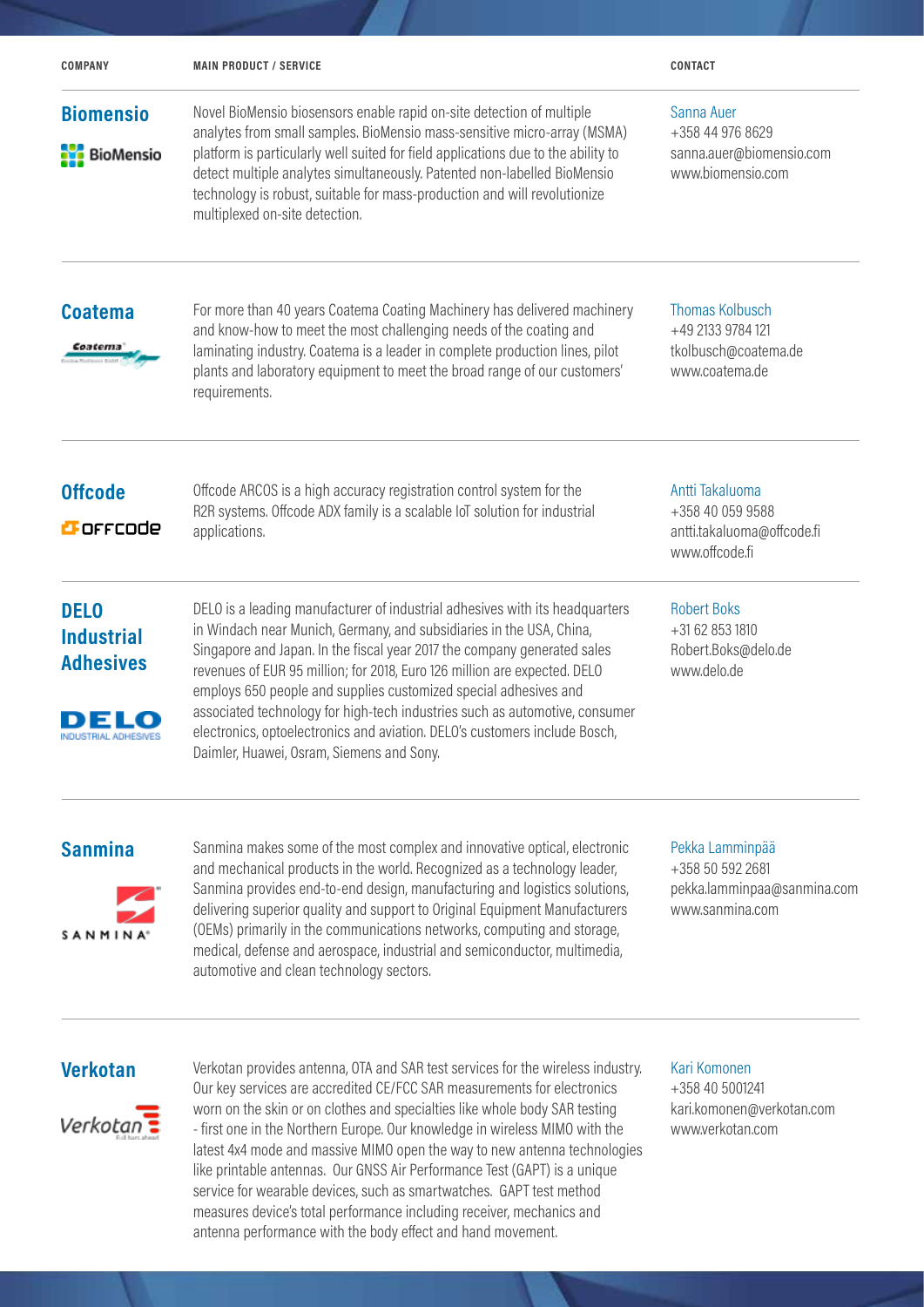| <b>COMPANY</b>                                                                              | <b>MAIN PRODUCT / SERVICE</b>                                                                                                                                                                                                                                                                                                                                                                                                                                                                                                                                                               | <b>CONTACT</b>                                                                        |
|---------------------------------------------------------------------------------------------|---------------------------------------------------------------------------------------------------------------------------------------------------------------------------------------------------------------------------------------------------------------------------------------------------------------------------------------------------------------------------------------------------------------------------------------------------------------------------------------------------------------------------------------------------------------------------------------------|---------------------------------------------------------------------------------------|
| <b>Biomensio</b><br><b>NE</b> BioMensio                                                     | Novel BioMensio biosensors enable rapid on-site detection of multiple<br>analytes from small samples. BioMensio mass-sensitive micro-array (MSMA)<br>platform is particularly well suited for field applications due to the ability to<br>detect multiple analytes simultaneously. Patented non-labelled BioMensio<br>technology is robust, suitable for mass-production and will revolutionize<br>multiplexed on-site detection.                                                                                                                                                           | Sanna Auer<br>+358 44 976 8629<br>sanna.auer@biomensio.com<br>www.biomensio.com       |
| <b>Coatema</b><br>Coatema                                                                   | For more than 40 years Coatema Coating Machinery has delivered machinery<br>and know-how to meet the most challenging needs of the coating and<br>laminating industry. Coatema is a leader in complete production lines, pilot<br>plants and laboratory equipment to meet the broad range of our customers'<br>requirements.                                                                                                                                                                                                                                                                | <b>Thomas Kolbusch</b><br>+49 2133 9784 121<br>tkolbusch@coatema.de<br>www.coatema.de |
| <b>Offcode</b><br><b>B</b> offcode                                                          | Offcode ARCOS is a high accuracy registration control system for the<br>R2R systems. Offcode ADX family is a scalable IoT solution for industrial<br>applications.                                                                                                                                                                                                                                                                                                                                                                                                                          | Antti Takaluoma<br>+358 40 059 9588<br>antti.takaluoma@offcode.fi<br>www.offcode.fi   |
| <b>DELO</b><br><b>Industrial</b><br><b>Adhesives</b><br>DELO<br><b>INDUSTRIAL ADHESIVES</b> | DELO is a leading manufacturer of industrial adhesives with its headquarters<br>in Windach near Munich, Germany, and subsidiaries in the USA, China,<br>Singapore and Japan. In the fiscal year 2017 the company generated sales<br>revenues of EUR 95 million; for 2018, Euro 126 million are expected. DELO<br>employs 650 people and supplies customized special adhesives and<br>associated technology for high-tech industries such as automotive, consumer<br>electronics, optoelectronics and aviation. DELO's customers include Bosch,<br>Daimler, Huawei, Osram, Siemens and Sony. | <b>Robert Boks</b><br>+31 62 853 1810<br>Robert.Boks@delo.de<br>www.delo.de           |
| <b>Sanmina</b><br>SANMINA <sup>®</sup>                                                      | Sanmina makes some of the most complex and innovative optical, electronic<br>and mechanical products in the world. Recognized as a technology leader,<br>Sanmina provides end-to-end design, manufacturing and logistics solutions,<br>delivering superior quality and support to Original Equipment Manufacturers<br>(OEMs) primarily in the communications networks, computing and storage,<br>medical, defense and aerospace, industrial and semiconductor, multimedia,<br>automotive and clean technology sectors.                                                                      | Pekka Lamminpää<br>+358 50 592 2681<br>pekka.lamminpaa@sanmina.com<br>www.sanmina.com |
|                                                                                             | Verketen provides aptenna OTA and SAD toot services for the wireless industry                                                                                                                                                                                                                                                                                                                                                                                                                                                                                                               | Kari Komonor                                                                          |

 $Verkota<sub>n</sub>$ 

**Verkotan** Verkotan provides antenna, OTA and SAR test services for the wireless industry. Our key services are accredited CE/FCC SAR measurements for electronics worn on the skin or on clothes and specialties like whole body SAR testing - first one in the Northern Europe. Our knowledge in wireless MIMO with the latest 4x4 mode and massive MIMO open the way to new antenna technologies like printable antennas. Our GNSS Air Performance Test (GAPT) is a unique service for wearable devices, such as smartwatches. GAPT test method measures device's total performance including receiver, mechanics and antenna performance with the body effect and hand movement.

Kari Komonen +358 40 5001241 kari.komonen@verkotan.com www.verkotan.com